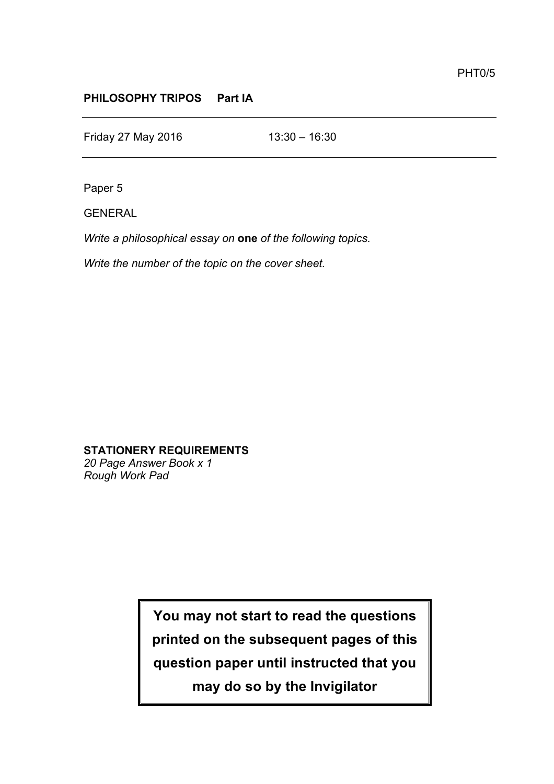## **PHILOSOPHY TRIPOS Part IA**

Friday 27 May 2016 13:30 – 16:30

Paper 5

GENERAL

*Write a philosophical essay on* **one** *of the following topics.* 

*Write the number of the topic on the cover sheet.*

**STATIONERY REQUIREMENTS** *20 Page Answer Book x 1*

*Rough Work Pad*

**You may not start to read the questions printed on the subsequent pages of this question paper until instructed that you may do so by the Invigilator**